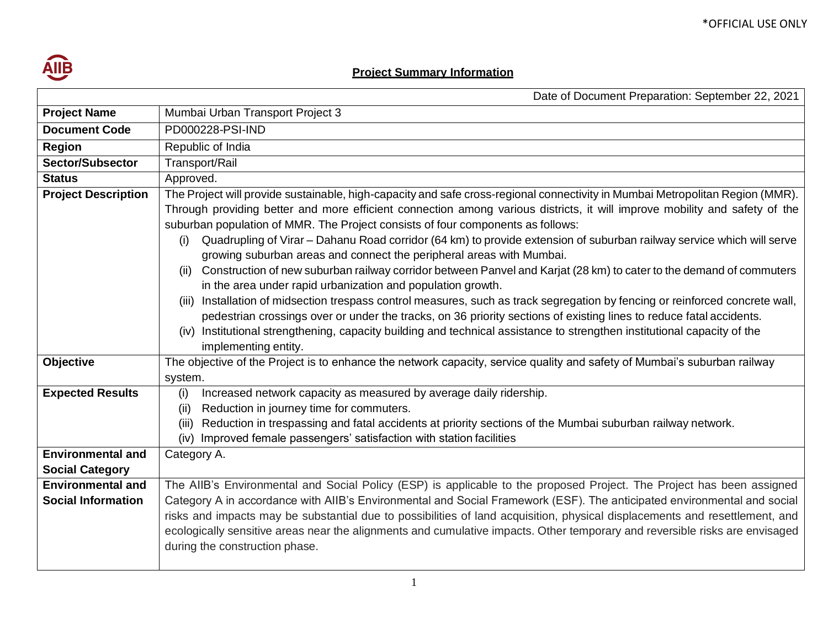

## **Project Summary Information**

|                                                       | Date of Document Preparation: September 22, 2021                                                                                                                                                                                                                                                                                                                                                                                                                                                                                                                                                                                                                                                                                                                                                                                                                                                                                                                                                                                                                                                                                                                 |  |  |
|-------------------------------------------------------|------------------------------------------------------------------------------------------------------------------------------------------------------------------------------------------------------------------------------------------------------------------------------------------------------------------------------------------------------------------------------------------------------------------------------------------------------------------------------------------------------------------------------------------------------------------------------------------------------------------------------------------------------------------------------------------------------------------------------------------------------------------------------------------------------------------------------------------------------------------------------------------------------------------------------------------------------------------------------------------------------------------------------------------------------------------------------------------------------------------------------------------------------------------|--|--|
| <b>Project Name</b>                                   | Mumbai Urban Transport Project 3                                                                                                                                                                                                                                                                                                                                                                                                                                                                                                                                                                                                                                                                                                                                                                                                                                                                                                                                                                                                                                                                                                                                 |  |  |
| <b>Document Code</b>                                  | PD000228-PSI-IND                                                                                                                                                                                                                                                                                                                                                                                                                                                                                                                                                                                                                                                                                                                                                                                                                                                                                                                                                                                                                                                                                                                                                 |  |  |
| <b>Region</b>                                         | Republic of India                                                                                                                                                                                                                                                                                                                                                                                                                                                                                                                                                                                                                                                                                                                                                                                                                                                                                                                                                                                                                                                                                                                                                |  |  |
| Sector/Subsector                                      | Transport/Rail                                                                                                                                                                                                                                                                                                                                                                                                                                                                                                                                                                                                                                                                                                                                                                                                                                                                                                                                                                                                                                                                                                                                                   |  |  |
| <b>Status</b>                                         | Approved.                                                                                                                                                                                                                                                                                                                                                                                                                                                                                                                                                                                                                                                                                                                                                                                                                                                                                                                                                                                                                                                                                                                                                        |  |  |
| <b>Project Description</b>                            | The Project will provide sustainable, high-capacity and safe cross-regional connectivity in Mumbai Metropolitan Region (MMR).<br>Through providing better and more efficient connection among various districts, it will improve mobility and safety of the<br>suburban population of MMR. The Project consists of four components as follows:<br>Quadrupling of Virar - Dahanu Road corridor (64 km) to provide extension of suburban railway service which will serve<br>(i)<br>growing suburban areas and connect the peripheral areas with Mumbai.<br>Construction of new suburban railway corridor between Panvel and Karjat (28 km) to cater to the demand of commuters<br>(ii)<br>in the area under rapid urbanization and population growth.<br>(iii) Installation of midsection trespass control measures, such as track segregation by fencing or reinforced concrete wall,<br>pedestrian crossings over or under the tracks, on 36 priority sections of existing lines to reduce fatal accidents.<br>(iv) Institutional strengthening, capacity building and technical assistance to strengthen institutional capacity of the<br>implementing entity. |  |  |
| Objective                                             | The objective of the Project is to enhance the network capacity, service quality and safety of Mumbai's suburban railway<br>system.                                                                                                                                                                                                                                                                                                                                                                                                                                                                                                                                                                                                                                                                                                                                                                                                                                                                                                                                                                                                                              |  |  |
| <b>Expected Results</b>                               | Increased network capacity as measured by average daily ridership.<br>(i)<br>Reduction in journey time for commuters.<br>(ii)<br>Reduction in trespassing and fatal accidents at priority sections of the Mumbai suburban railway network.<br>(iii)<br>Improved female passengers' satisfaction with station facilities<br>(iv)                                                                                                                                                                                                                                                                                                                                                                                                                                                                                                                                                                                                                                                                                                                                                                                                                                  |  |  |
| <b>Environmental and</b><br><b>Social Category</b>    | Category A.                                                                                                                                                                                                                                                                                                                                                                                                                                                                                                                                                                                                                                                                                                                                                                                                                                                                                                                                                                                                                                                                                                                                                      |  |  |
| <b>Environmental and</b><br><b>Social Information</b> | The AIIB's Environmental and Social Policy (ESP) is applicable to the proposed Project. The Project has been assigned<br>Category A in accordance with AIIB's Environmental and Social Framework (ESF). The anticipated environmental and social<br>risks and impacts may be substantial due to possibilities of land acquisition, physical displacements and resettlement, and<br>ecologically sensitive areas near the alignments and cumulative impacts. Other temporary and reversible risks are envisaged<br>during the construction phase.                                                                                                                                                                                                                                                                                                                                                                                                                                                                                                                                                                                                                 |  |  |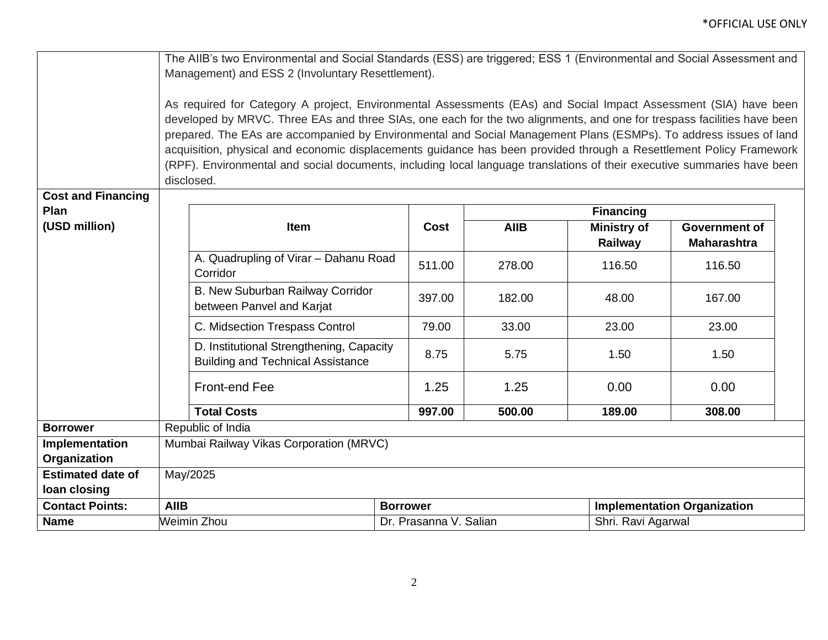|                           | The AIIB's two Environmental and Social Standards (ESS) are triggered; ESS 1 (Environmental and Social Assessment and   |                        |                                    |                    |                    |  |  |
|---------------------------|-------------------------------------------------------------------------------------------------------------------------|------------------------|------------------------------------|--------------------|--------------------|--|--|
|                           | Management) and ESS 2 (Involuntary Resettlement).                                                                       |                        |                                    |                    |                    |  |  |
|                           |                                                                                                                         |                        |                                    |                    |                    |  |  |
|                           | As required for Category A project, Environmental Assessments (EAs) and Social Impact Assessment (SIA) have been        |                        |                                    |                    |                    |  |  |
|                           | developed by MRVC. Three EAs and three SIAs, one each for the two alignments, and one for trespass facilities have been |                        |                                    |                    |                    |  |  |
|                           | prepared. The EAs are accompanied by Environmental and Social Management Plans (ESMPs). To address issues of land       |                        |                                    |                    |                    |  |  |
|                           | acquisition, physical and economic displacements guidance has been provided through a Resettlement Policy Framework     |                        |                                    |                    |                    |  |  |
|                           | (RPF). Environmental and social documents, including local language translations of their executive summaries have been |                        |                                    |                    |                    |  |  |
|                           | disclosed.                                                                                                              |                        |                                    |                    |                    |  |  |
| <b>Cost and Financing</b> |                                                                                                                         |                        |                                    |                    |                    |  |  |
| Plan                      | <b>Financing</b>                                                                                                        |                        |                                    |                    |                    |  |  |
| (USD million)             | Item                                                                                                                    | Cost                   | <b>AIIB</b>                        | <b>Ministry of</b> | Government of      |  |  |
|                           |                                                                                                                         |                        |                                    | Railway            | <b>Maharashtra</b> |  |  |
|                           | A. Quadrupling of Virar - Dahanu Road<br>Corridor                                                                       | 511.00                 | 278.00                             | 116.50             | 116.50             |  |  |
|                           | B. New Suburban Railway Corridor<br>between Panvel and Karjat                                                           | 397.00                 | 182.00                             | 48.00              | 167.00             |  |  |
|                           | C. Midsection Trespass Control                                                                                          | 79.00                  | 33.00                              | 23.00              | 23.00              |  |  |
|                           | D. Institutional Strengthening, Capacity<br><b>Building and Technical Assistance</b>                                    | 8.75                   | 5.75                               | 1.50               | 1.50               |  |  |
|                           | <b>Front-end Fee</b>                                                                                                    | 1.25                   | 1.25                               | 0.00               | 0.00               |  |  |
|                           | <b>Total Costs</b>                                                                                                      | 997.00                 | 500.00                             | 189.00             | 308.00             |  |  |
| <b>Borrower</b>           | Republic of India                                                                                                       |                        |                                    |                    |                    |  |  |
| Implementation            | Mumbai Railway Vikas Corporation (MRVC)                                                                                 |                        |                                    |                    |                    |  |  |
| Organization              |                                                                                                                         |                        |                                    |                    |                    |  |  |
| <b>Estimated date of</b>  | May/2025                                                                                                                |                        |                                    |                    |                    |  |  |
| loan closing              |                                                                                                                         |                        |                                    |                    |                    |  |  |
| <b>Contact Points:</b>    | <b>AIIB</b>                                                                                                             | <b>Borrower</b>        | <b>Implementation Organization</b> |                    |                    |  |  |
| <b>Name</b>               | Weimin Zhou                                                                                                             | Dr. Prasanna V. Salian |                                    | Shri. Ravi Agarwal |                    |  |  |